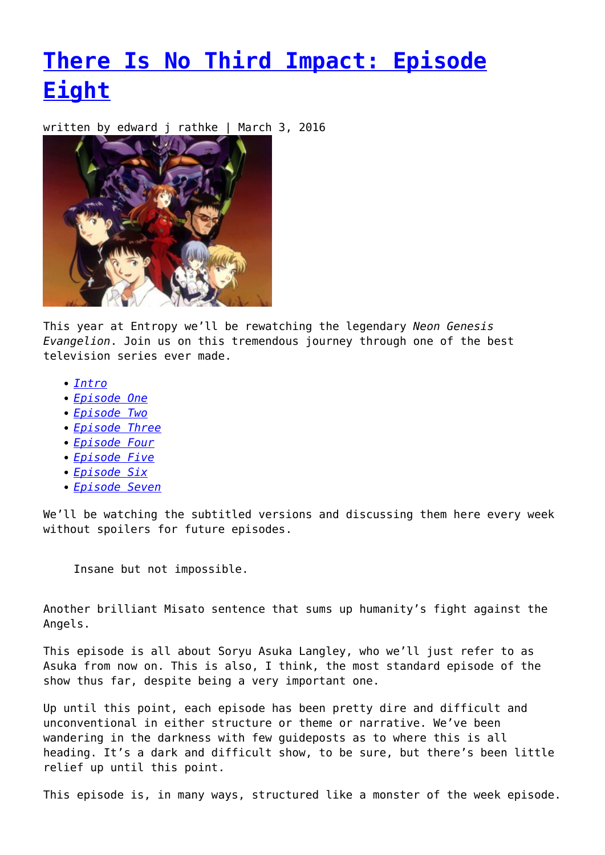## **[There Is No Third Impact: Episode](https://entropymag.org/there-is-no-third-impact-episode-eight/) [Eight](https://entropymag.org/there-is-no-third-impact-episode-eight/)**

written by edward j rathke | March 3, 2016



This year at Entropy we'll be rewatching the legendary *Neon Genesis Evangelion*. Join us on this tremendous journey through one of the best television series ever made.

- *[Intro](https://entropymag.org/there-is-no-third-impact-revisiting-evangelion/)*
- *[Episode One](https://entropymag.org/there-is-no-third-impact-episode-one/)*
- *[Episode Two](https://entropymag.org/there-is-no-third-impact-episode-two/)*
- *[Episode Three](https://entropymag.org/there-is-no-third-impact-episode-three/)*
- *[Episode Four](https://entropymag.org/there-is-no-third-impact-episode-four/)*
- *[Episode Five](https://entropymag.org/there-is-no-third-impact-episode-five/)*
- *[Episode Six](https://entropymag.org/there-is-no-third-impact-episode-six/)*
- *[Episode Seven](https://entropymag.org/there-is-no-third-impact-episode-seven/)*

We'll be watching the subtitled versions and discussing them here every week without spoilers for future episodes.

Insane but not impossible.

Another brilliant Misato sentence that sums up humanity's fight against the Angels.

This episode is all about Sorvu Asuka Langley, who we'll just refer to as Asuka from now on. This is also, I think, the most standard episode of the show thus far, despite being a very important one.

Up until this point, each episode has been pretty dire and difficult and unconventional in either structure or theme or narrative. We've been wandering in the darkness with few guideposts as to where this is all heading. It's a dark and difficult show, to be sure, but there's been little relief up until this point.

This episode is, in many ways, structured like a monster of the week episode.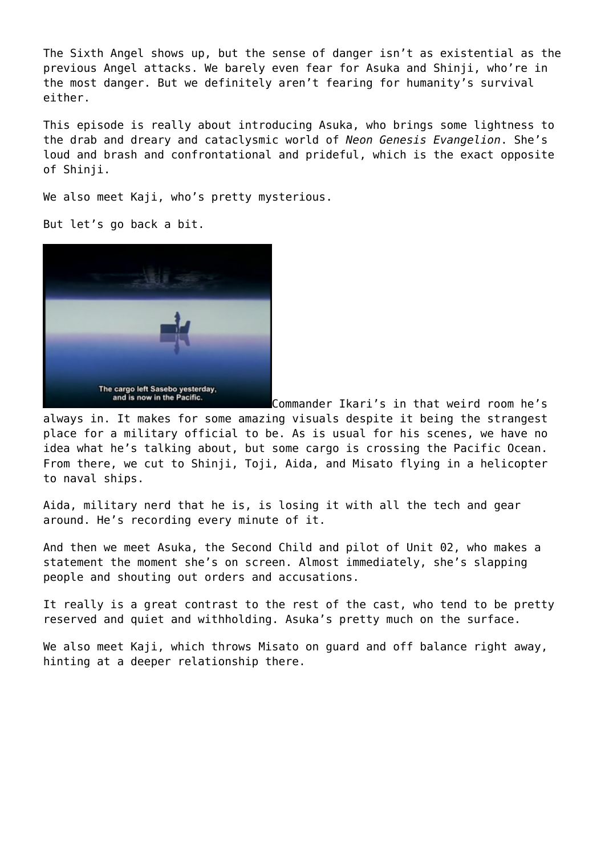The Sixth Angel shows up, but the sense of danger isn't as existential as the previous Angel attacks. We barely even fear for Asuka and Shinji, who're in the most danger. But we definitely aren't fearing for humanity's survival either.

This episode is really about introducing Asuka, who brings some lightness to the drab and dreary and cataclysmic world of *Neon Genesis Evangelion*. She's loud and brash and confrontational and prideful, which is the exact opposite of Shinji.

We also meet Kaji, who's pretty mysterious.

But let's go back a bit.



Commander Ikari's in that weird room he's

always in. It makes for some amazing visuals despite it being the strangest place for a military official to be. As is usual for his scenes, we have no idea what he's talking about, but some cargo is crossing the Pacific Ocean. From there, we cut to Shinji, Toji, Aida, and Misato flying in a helicopter to naval ships.

Aida, military nerd that he is, is losing it with all the tech and gear around. He's recording every minute of it.

And then we meet Asuka, the Second Child and pilot of Unit 02, who makes a statement the moment she's on screen. Almost immediately, she's slapping people and shouting out orders and accusations.

It really is a great contrast to the rest of the cast, who tend to be pretty reserved and quiet and withholding. Asuka's pretty much on the surface.

We also meet Kaji, which throws Misato on guard and off balance right away, hinting at a deeper relationship there.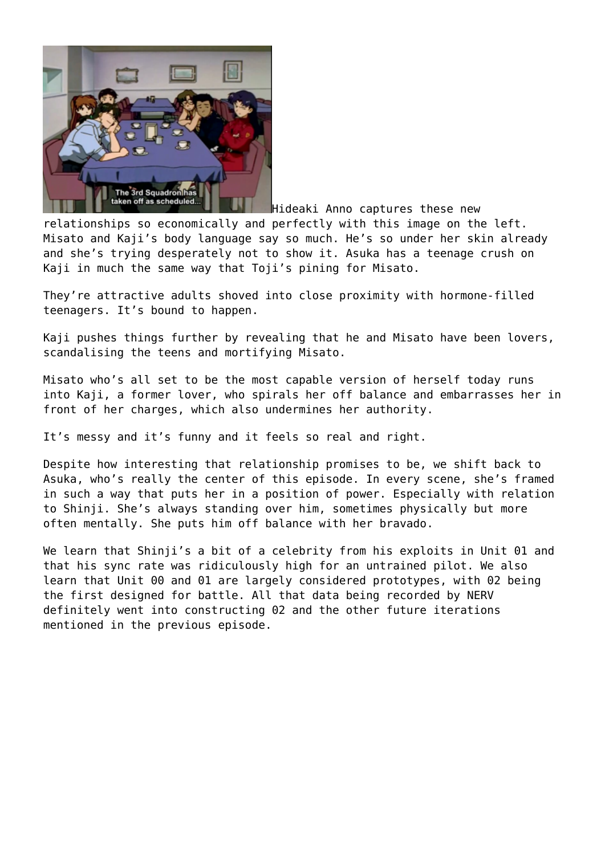

Hideaki Anno captures these new relationships so economically and perfectly with this image on the left. Misato and Kaji's body language say so much. He's so under her skin already and she's trying desperately not to show it. Asuka has a teenage crush on Kaji in much the same way that Toji's pining for Misato.

They're attractive adults shoved into close proximity with hormone-filled teenagers. It's bound to happen.

Kaji pushes things further by revealing that he and Misato have been lovers, scandalising the teens and mortifying Misato.

Misato who's all set to be the most capable version of herself today runs into Kaji, a former lover, who spirals her off balance and embarrasses her in front of her charges, which also undermines her authority.

It's messy and it's funny and it feels so real and right.

Despite how interesting that relationship promises to be, we shift back to Asuka, who's really the center of this episode. In every scene, she's framed in such a way that puts her in a position of power. Especially with relation to Shinji. She's always standing over him, sometimes physically but more often mentally. She puts him off balance with her bravado.

We learn that Shinji's a bit of a celebrity from his exploits in Unit 01 and that his sync rate was ridiculously high for an untrained pilot. We also learn that Unit 00 and 01 are largely considered prototypes, with 02 being the first designed for battle. All that data being recorded by NERV definitely went into constructing 02 and the other future iterations mentioned in the previous episode.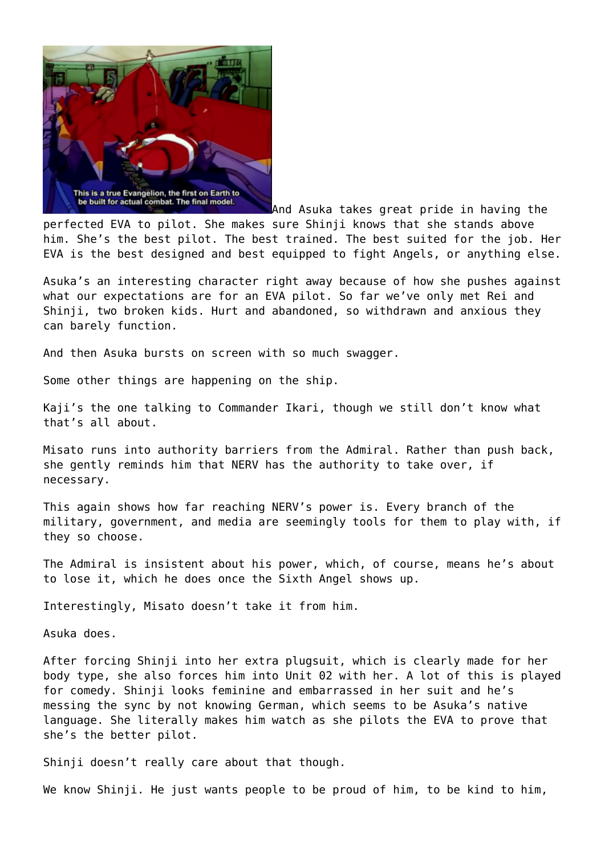

And Asuka takes great pride in having the perfected EVA to pilot. She makes sure Shinji knows that she stands above him. She's the best pilot. The best trained. The best suited for the job. Her EVA is the best designed and best equipped to fight Angels, or anything else.

Asuka's an interesting character right away because of how she pushes against what our expectations are for an EVA pilot. So far we've only met Rei and Shinji, two broken kids. Hurt and abandoned, so withdrawn and anxious they can barely function.

And then Asuka bursts on screen with so much swagger.

Some other things are happening on the ship.

Kaji's the one talking to Commander Ikari, though we still don't know what that's all about.

Misato runs into authority barriers from the Admiral. Rather than push back, she gently reminds him that NERV has the authority to take over, if necessary.

This again shows how far reaching NERV's power is. Every branch of the military, government, and media are seemingly tools for them to play with, if they so choose.

The Admiral is insistent about his power, which, of course, means he's about to lose it, which he does once the Sixth Angel shows up.

Interestingly, Misato doesn't take it from him.

Asuka does.

After forcing Shinji into her extra plugsuit, which is clearly made for her body type, she also forces him into Unit 02 with her. A lot of this is played for comedy. Shinji looks feminine and embarrassed in her suit and he's messing the sync by not knowing German, which seems to be Asuka's native language. She literally makes him watch as she pilots the EVA to prove that she's the better pilot.

Shinji doesn't really care about that though.

We know Shinji. He just wants people to be proud of him, to be kind to him,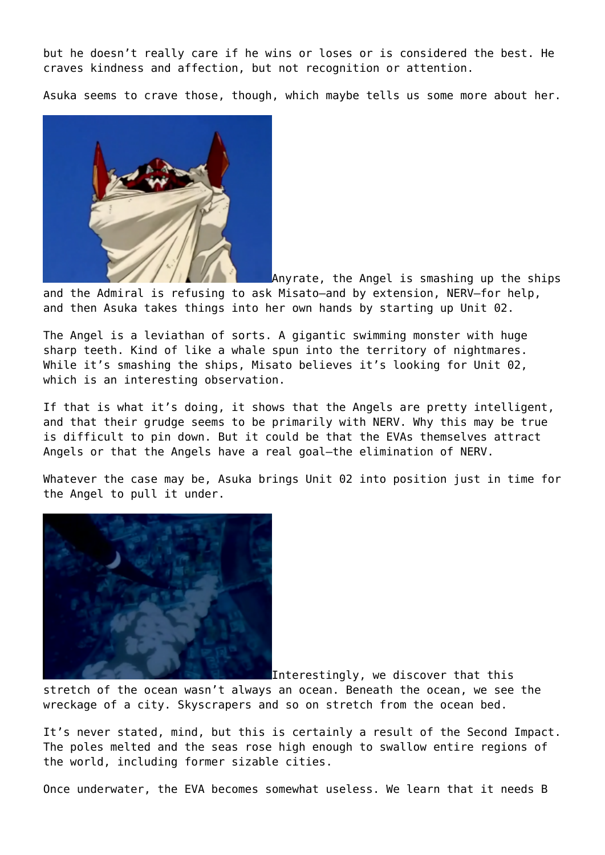but he doesn't really care if he wins or loses or is considered the best. He craves kindness and affection, but not recognition or attention.

Asuka seems to crave those, though, which maybe tells us some more about her.



Anyrate, the Angel is smashing up the ships and the Admiral is refusing to ask Misato–and by extension, NERV–for help, and then Asuka takes things into her own hands by starting up Unit 02.

The Angel is a leviathan of sorts. A gigantic swimming monster with huge sharp teeth. Kind of like a whale spun into the territory of nightmares. While it's smashing the ships, Misato believes it's looking for Unit 02, which is an interesting observation.

If that is what it's doing, it shows that the Angels are pretty intelligent, and that their grudge seems to be primarily with NERV. Why this may be true is difficult to pin down. But it could be that the EVAs themselves attract Angels or that the Angels have a real goal–the elimination of NERV.

Whatever the case may be, Asuka brings Unit 02 into position just in time for the Angel to pull it under.



Interestingly, we discover that this

stretch of the ocean wasn't always an ocean. Beneath the ocean, we see the wreckage of a city. Skyscrapers and so on stretch from the ocean bed.

It's never stated, mind, but this is certainly a result of the Second Impact. The poles melted and the seas rose high enough to swallow entire regions of the world, including former sizable cities.

Once underwater, the EVA becomes somewhat useless. We learn that it needs B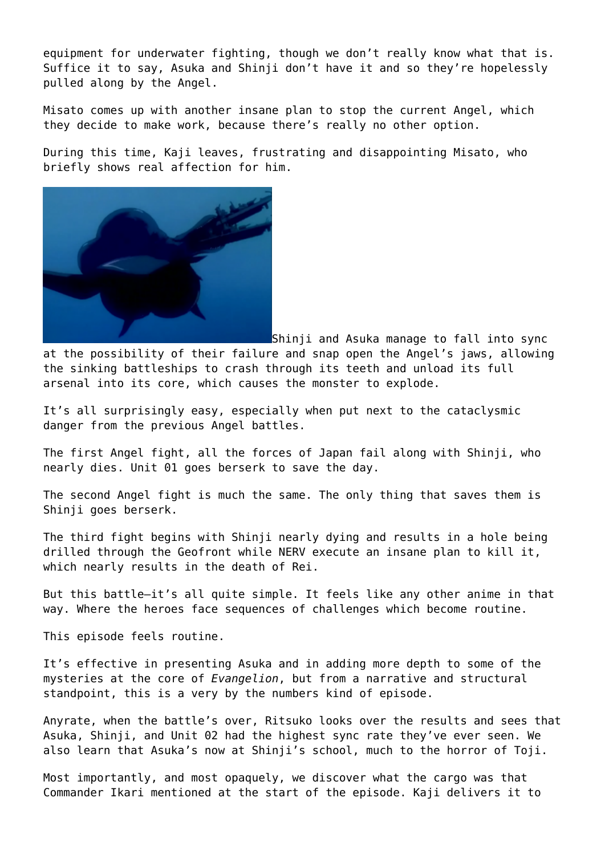equipment for underwater fighting, though we don't really know what that is. Suffice it to say, Asuka and Shinji don't have it and so they're hopelessly pulled along by the Angel.

Misato comes up with another insane plan to stop the current Angel, which they decide to make work, because there's really no other option.

During this time, Kaji leaves, frustrating and disappointing Misato, who briefly shows real affection for him.



Shinji and Asuka manage to fall into sync at the possibility of their failure and snap open the Angel's jaws, allowing the sinking battleships to crash through its teeth and unload its full arsenal into its core, which causes the monster to explode.

It's all surprisingly easy, especially when put next to the cataclysmic danger from the previous Angel battles.

The first Angel fight, all the forces of Japan fail along with Shinji, who nearly dies. Unit 01 goes berserk to save the day.

The second Angel fight is much the same. The only thing that saves them is Shinji goes berserk.

The third fight begins with Shinji nearly dying and results in a hole being drilled through the Geofront while NERV execute an insane plan to kill it, which nearly results in the death of Rei.

But this battle–it's all quite simple. It feels like any other anime in that way. Where the heroes face sequences of challenges which become routine.

This episode feels routine.

It's effective in presenting Asuka and in adding more depth to some of the mysteries at the core of *Evangelion*, but from a narrative and structural standpoint, this is a very by the numbers kind of episode.

Anyrate, when the battle's over, Ritsuko looks over the results and sees that Asuka, Shinji, and Unit 02 had the highest sync rate they've ever seen. We also learn that Asuka's now at Shinji's school, much to the horror of Toji.

Most importantly, and most opaquely, we discover what the cargo was that Commander Ikari mentioned at the start of the episode. Kaji delivers it to